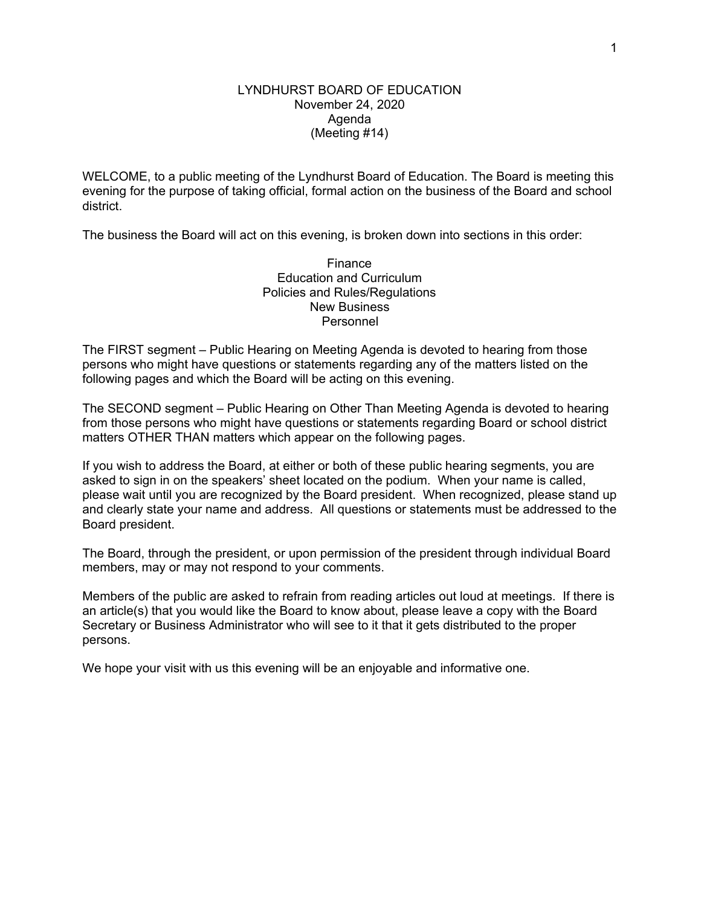### LYNDHURST BOARD OF EDUCATION November 24, 2020 Agenda (Meeting #14)

WELCOME, to a public meeting of the Lyndhurst Board of Education. The Board is meeting this evening for the purpose of taking official, formal action on the business of the Board and school district.

The business the Board will act on this evening, is broken down into sections in this order:

**Finance** Education and Curriculum Policies and Rules/Regulations New Business Personnel

The FIRST segment – Public Hearing on Meeting Agenda is devoted to hearing from those persons who might have questions or statements regarding any of the matters listed on the following pages and which the Board will be acting on this evening.

The SECOND segment – Public Hearing on Other Than Meeting Agenda is devoted to hearing from those persons who might have questions or statements regarding Board or school district matters OTHER THAN matters which appear on the following pages.

If you wish to address the Board, at either or both of these public hearing segments, you are asked to sign in on the speakers' sheet located on the podium. When your name is called, please wait until you are recognized by the Board president. When recognized, please stand up and clearly state your name and address. All questions or statements must be addressed to the Board president.

The Board, through the president, or upon permission of the president through individual Board members, may or may not respond to your comments.

Members of the public are asked to refrain from reading articles out loud at meetings. If there is an article(s) that you would like the Board to know about, please leave a copy with the Board Secretary or Business Administrator who will see to it that it gets distributed to the proper persons.

We hope your visit with us this evening will be an enjoyable and informative one.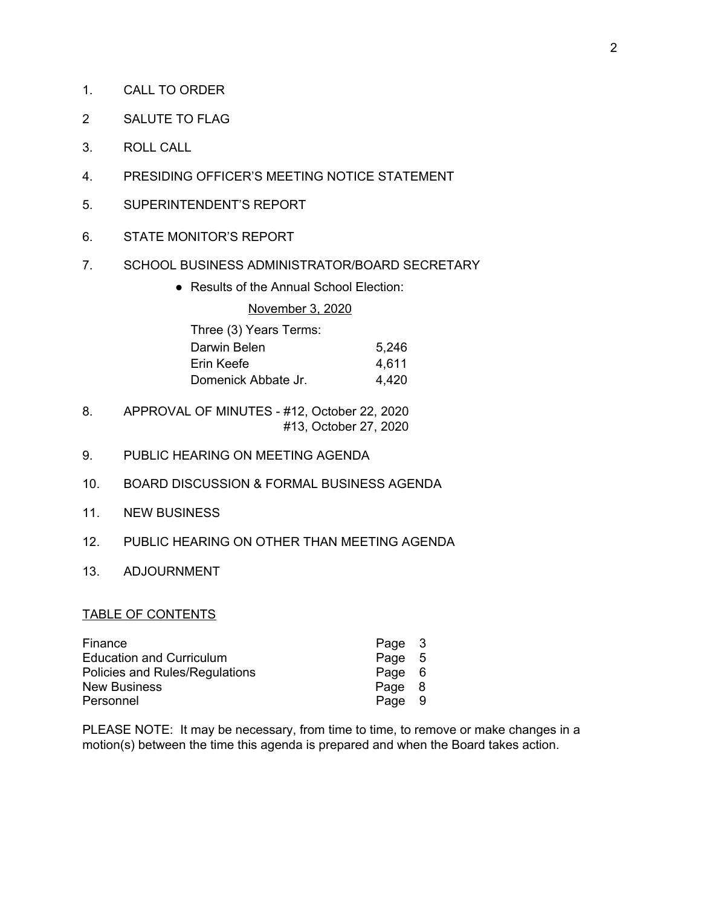- 1. CALL TO ORDER
- 2 SALUTE TO FLAG
- 3. ROLL CALL
- 4. PRESIDING OFFICER'S MEETING NOTICE STATEMENT
- 5. SUPERINTENDENT'S REPORT
- 6. STATE MONITOR'S REPORT
- 7. SCHOOL BUSINESS ADMINISTRATOR/BOARD SECRETARY
	- Results of the Annual School Election:

### November 3, 2020

| Three (3) Years Terms: |       |
|------------------------|-------|
| Darwin Belen           | 5,246 |
| Erin Keefe             | 4.611 |
| Domenick Abbate Jr.    | 4,420 |

- 8. APPROVAL OF MINUTES #12, October 22, 2020 #13, October 27, 2020
- 9. PUBLIC HEARING ON MEETING AGENDA
- 10. BOARD DISCUSSION & FORMAL BUSINESS AGENDA
- 11. NEW BUSINESS
- 12. PUBLIC HEARING ON OTHER THAN MEETING AGENDA
- 13. ADJOURNMENT

### TABLE OF CONTENTS

| Page 3 |  |
|--------|--|
| Page 5 |  |
| Page 6 |  |
| Page 8 |  |
| Page 9 |  |
|        |  |

PLEASE NOTE: It may be necessary, from time to time, to remove or make changes in a motion(s) between the time this agenda is prepared and when the Board takes action.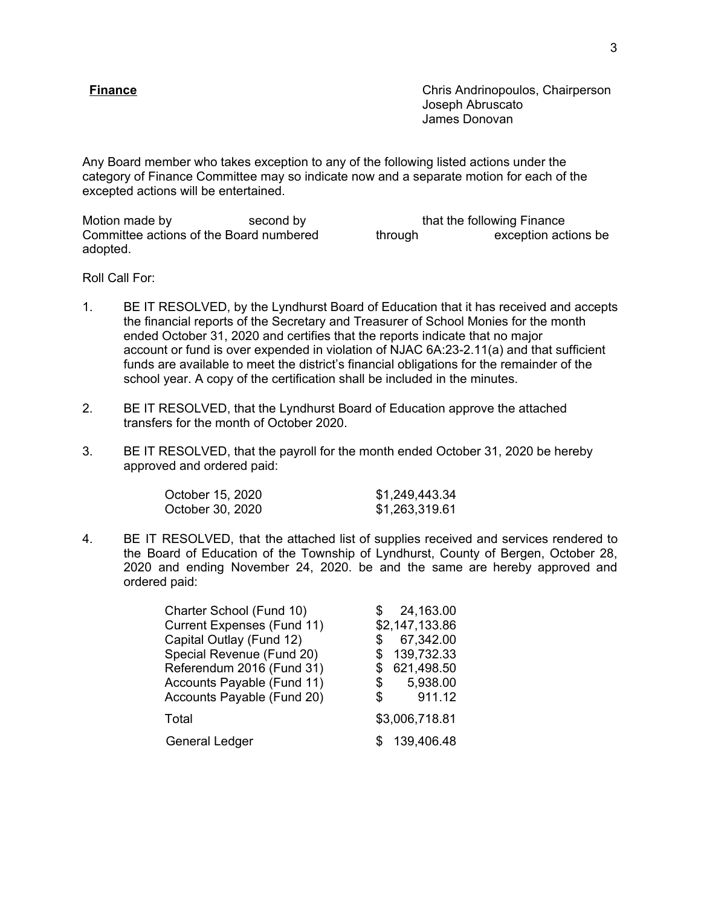**Finance Chris Andrinopoulos, Chairperson** Joseph Abruscato James Donovan

Any Board member who takes exception to any of the following listed actions under the category of Finance Committee may so indicate now and a separate motion for each of the excepted actions will be entertained.

Motion made by second by that the following Finance Committee actions of the Board numbered through exception actions be adopted.

Roll Call For:

- 1. BE IT RESOLVED, by the Lyndhurst Board of Education that it has received and accepts the financial reports of the Secretary and Treasurer of School Monies for the month ended October 31, 2020 and certifies that the reports indicate that no major account or fund is over expended in violation of NJAC 6A:23-2.11(a) and that sufficient funds are available to meet the district's financial obligations for the remainder of the school year. A copy of the certification shall be included in the minutes.
- 2. BE IT RESOLVED, that the Lyndhurst Board of Education approve the attached transfers for the month of October 2020.
- 3. BE IT RESOLVED, that the payroll for the month ended October 31, 2020 be hereby approved and ordered paid:

| October 15, 2020 | \$1,249,443.34 |
|------------------|----------------|
| October 30, 2020 | \$1,263,319.61 |

4. BE IT RESOLVED, that the attached list of supplies received and services rendered to the Board of Education of the Township of Lyndhurst, County of Bergen, October 28, 2020 and ending November 24, 2020. be and the same are hereby approved and ordered paid:

| Charter School (Fund 10)   |    | 24,163.00      |
|----------------------------|----|----------------|
| Current Expenses (Fund 11) |    | \$2,147,133.86 |
| Capital Outlay (Fund 12)   | S  | 67,342.00      |
| Special Revenue (Fund 20)  |    | 139,732.33     |
| Referendum 2016 (Fund 31)  |    | 621,498.50     |
| Accounts Payable (Fund 11) | \$ | 5,938.00       |
| Accounts Payable (Fund 20) | \$ | 911.12         |
| Total                      |    | \$3,006,718.81 |
| <b>General Ledger</b>      |    | 139,406.48     |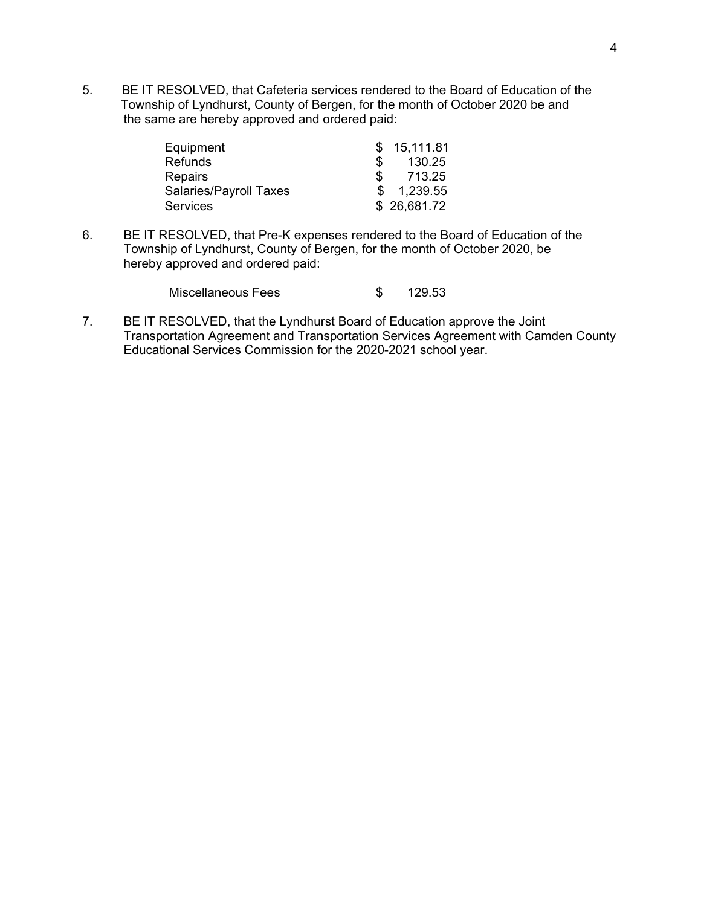5. BE IT RESOLVED, that Cafeteria services rendered to the Board of Education of the Township of Lyndhurst, County of Bergen, for the month of October 2020 be and the same are hereby approved and ordered paid:

| Equipment              |     | \$15,111.81 |
|------------------------|-----|-------------|
| <b>Refunds</b>         | SS. | 130.25      |
| <b>Repairs</b>         | \$  | 713.25      |
| Salaries/Payroll Taxes |     | \$1,239.55  |
| <b>Services</b>        |     | \$26,681.72 |

6. BE IT RESOLVED, that Pre-K expenses rendered to the Board of Education of the Township of Lyndhurst, County of Bergen, for the month of October 2020, be hereby approved and ordered paid:

| Miscellaneous Fees |  | 129.53 |
|--------------------|--|--------|
|--------------------|--|--------|

7. BE IT RESOLVED, that the Lyndhurst Board of Education approve the Joint Transportation Agreement and Transportation Services Agreement with Camden County Educational Services Commission for the 2020-2021 school year.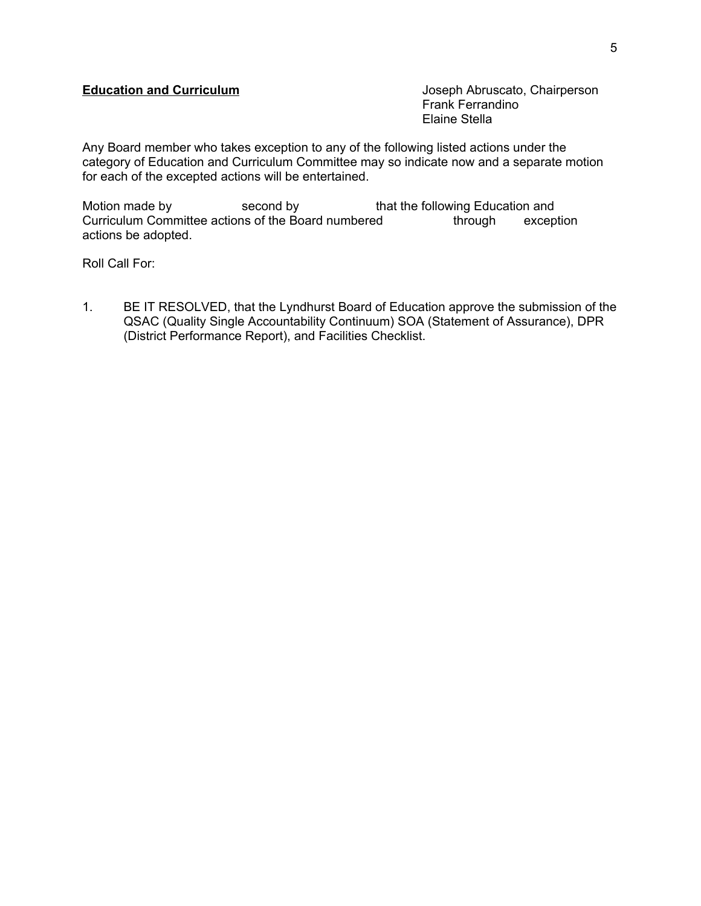# **Education and Curriculum Curriculum** Joseph Abruscato, Chairperson

Frank Ferrandino Elaine Stella

Any Board member who takes exception to any of the following listed actions under the category of Education and Curriculum Committee may so indicate now and a separate motion for each of the excepted actions will be entertained.

Motion made by second by that the following Education and Curriculum Committee actions of the Board numbered through exception actions be adopted.

Roll Call For:

1. BE IT RESOLVED, that the Lyndhurst Board of Education approve the submission of the QSAC (Quality Single Accountability Continuum) SOA (Statement of Assurance), DPR (District Performance Report), and Facilities Checklist.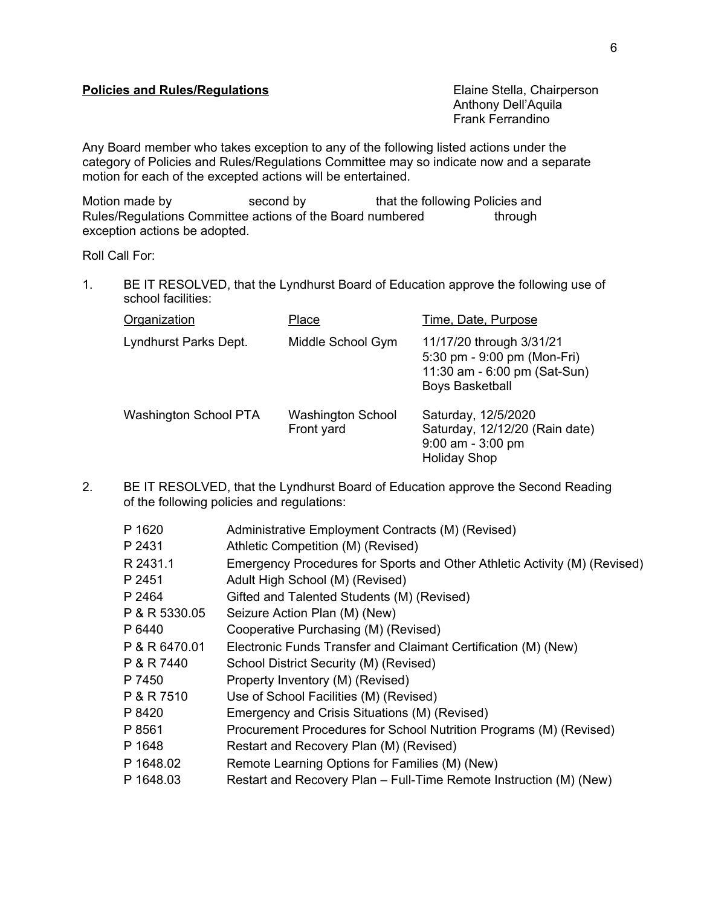# **Policies and Rules/Regulations Elaine Stella, Chairperson**

Anthony Dell'Aquila Frank Ferrandino

Any Board member who takes exception to any of the following listed actions under the category of Policies and Rules/Regulations Committee may so indicate now and a separate motion for each of the excepted actions will be entertained.

Motion made by second by that the following Policies and Rules/Regulations Committee actions of the Board numbered through exception actions be adopted.

Roll Call For:

1. BE IT RESOLVED, that the Lyndhurst Board of Education approve the following use of school facilities:

| Organization                 | Place                                  | Time, Date, Purpose                                                                                               |
|------------------------------|----------------------------------------|-------------------------------------------------------------------------------------------------------------------|
| Lyndhurst Parks Dept.        | Middle School Gym                      | 11/17/20 through 3/31/21<br>5:30 pm - 9:00 pm (Mon-Fri)<br>11:30 am - 6:00 pm (Sat-Sun)<br><b>Boys Basketball</b> |
| <b>Washington School PTA</b> | <b>Washington School</b><br>Front yard | Saturday, 12/5/2020<br>Saturday, 12/12/20 (Rain date)<br>$9:00$ am - $3:00$ pm<br><b>Holiday Shop</b>             |

2. BE IT RESOLVED, that the Lyndhurst Board of Education approve the Second Reading of the following policies and regulations:

| P 1620        | Administrative Employment Contracts (M) (Revised)                         |
|---------------|---------------------------------------------------------------------------|
| P 2431        | Athletic Competition (M) (Revised)                                        |
| R 2431.1      | Emergency Procedures for Sports and Other Athletic Activity (M) (Revised) |
| P 2451        | Adult High School (M) (Revised)                                           |
| P 2464        | Gifted and Talented Students (M) (Revised)                                |
| P & R 5330.05 | Seizure Action Plan (M) (New)                                             |
| P 6440        | Cooperative Purchasing (M) (Revised)                                      |
| P & R 6470.01 | Electronic Funds Transfer and Claimant Certification (M) (New)            |
| P & R 7440    | School District Security (M) (Revised)                                    |
| P 7450        | Property Inventory (M) (Revised)                                          |
| P & R 7510    | Use of School Facilities (M) (Revised)                                    |
| P 8420        | Emergency and Crisis Situations (M) (Revised)                             |
| P 8561        | Procurement Procedures for School Nutrition Programs (M) (Revised)        |
| P 1648        | Restart and Recovery Plan (M) (Revised)                                   |
| P 1648.02     | Remote Learning Options for Families (M) (New)                            |
| P 1648.03     | Restart and Recovery Plan – Full-Time Remote Instruction (M) (New)        |
|               |                                                                           |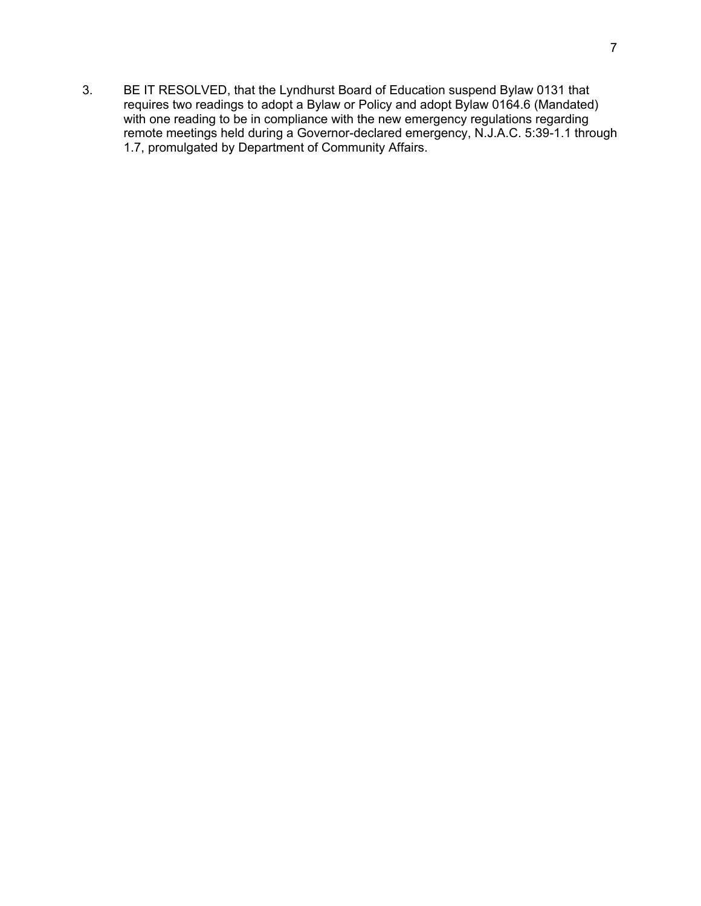3. BE IT RESOLVED, that the Lyndhurst Board of Education suspend Bylaw 0131 that requires two readings to adopt a Bylaw or Policy and adopt Bylaw 0164.6 (Mandated) with one reading to be in compliance with the new emergency regulations regarding remote meetings held during a Governor-declared emergency, N.J.A.C. 5:39-1.1 through 1.7, promulgated by Department of Community Affairs.